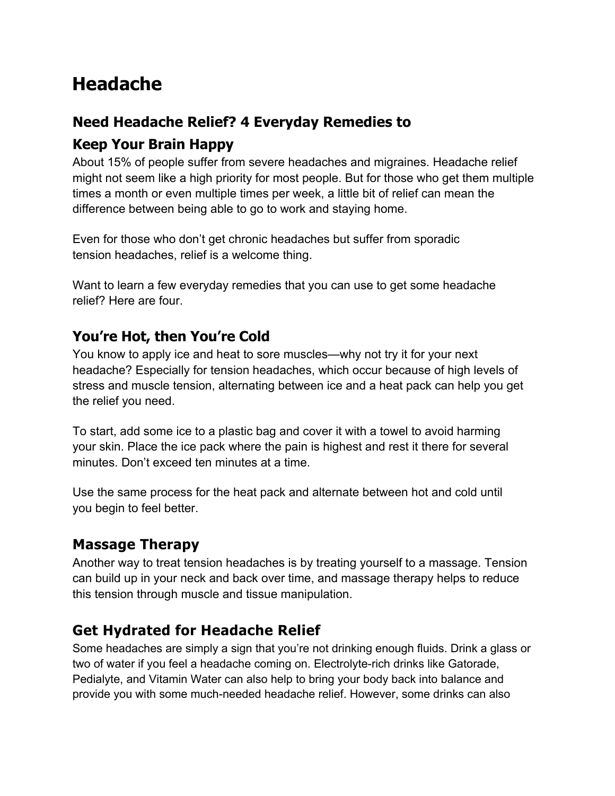# **Headache**

# **Need Headache Relief? 4 Everyday Remedies to Keep Your Brain Happy**

About 15% of people suffer from severe headaches and migraines. Headache relief might not seem like a high priority for most people. But for those who get them multiple times a month or even multiple times per week, a little bit of relief can mean the difference between being able to go to work and staying home.

Even for those who don't get chronic headaches but suffer from sporadic tension headaches, relief is a welcome thing.

Want to learn a few everyday remedies that you can use to get some headache relief? Here are four.

# **You're Hot, then You're Cold**

You know to apply ice and heat to sore muscles—why not try it for your next headache? Especially for tension headaches, which occur because of high levels of stress and muscle tension, alternating between ice and a heat pack can help you get the relief you need.

To start, add some ice to a plastic bag and cover it with a towel to avoid harming your skin. Place the ice pack where the pain is highest and rest it there for several minutes. Don't exceed ten minutes at a time.

Use the same process for the heat pack and alternate between hot and cold until you begin to feel better.

### **Massage Therapy**

Another way to treat tension headaches is by treating yourself to a massage. Tension can build up in your neck and back over time, and massage therapy helps to reduce this tension through muscle and tissue manipulation.

### **Get Hydrated for Headache Relief**

Some headaches are simply a sign that you're not drinking enough fluids. Drink a glass or two of water if you feel a headache coming on. Electrolyte-rich drinks like Gatorade, Pedialyte, and Vitamin Water can also help to bring your body back into balance and provide you with some much-needed headache relief. However, some drinks can also